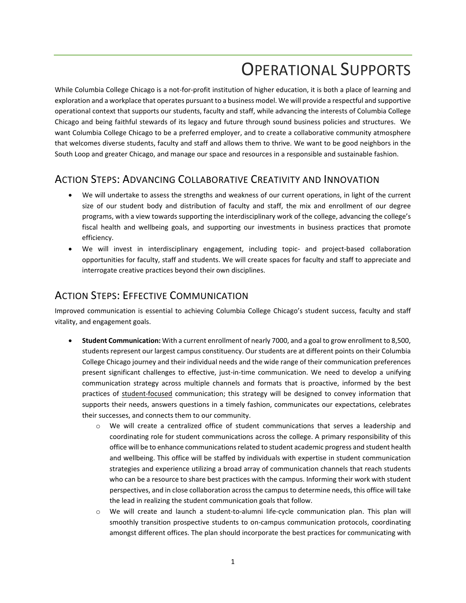# OPERATIONAL SUPPORTS

While Columbia College Chicago is a not-for-profit institution of higher education, it is both a place of learning and exploration and a workplace that operates pursuant to a business model. We will provide a respectful and supportive operational context that supports our students, faculty and staff, while advancing the interests of Columbia College Chicago and being faithful stewards of its legacy and future through sound business policies and structures. We want Columbia College Chicago to be a preferred employer, and to create a collaborative community atmosphere that welcomes diverse students, faculty and staff and allows them to thrive. We want to be good neighbors in the South Loop and greater Chicago, and manage our space and resources in a responsible and sustainable fashion.

# ACTION STEPS: ADVANCING COLLABORATIVE CREATIVITY AND INNOVATION

- We will undertake to assess the strengths and weakness of our current operations, in light of the current size of our student body and distribution of faculty and staff, the mix and enrollment of our degree programs, with a view towards supporting the interdisciplinary work of the college, advancing the college's fiscal health and wellbeing goals, and supporting our investments in business practices that promote efficiency.
- We will invest in interdisciplinary engagement, including topic- and project-based collaboration opportunities for faculty, staff and students. We will create spaces for faculty and staff to appreciate and interrogate creative practices beyond their own disciplines.

### ACTION STEPS: EFFECTIVE COMMUNICATION

Improved communication is essential to achieving Columbia College Chicago's student success, faculty and staff vitality, and engagement goals.

- **Student Communication:** With a current enrollment of nearly 7000, and a goal to grow enrollment to 8,500, students represent our largest campus constituency. Our students are at different points on their Columbia College Chicago journey and their individual needs and the wide range of their communication preferences present significant challenges to effective, just-in-time communication. We need to develop a unifying communication strategy across multiple channels and formats that is proactive, informed by the best practices of student-focused communication; this strategy will be designed to convey information that supports their needs, answers questions in a timely fashion, communicates our expectations, celebrates their successes, and connects them to our community.
	- We will create a centralized office of student communications that serves a leadership and coordinating role for student communications across the college. A primary responsibility of this office will be to enhance communications related to student academic progress and student health and wellbeing. This office will be staffed by individuals with expertise in student communication strategies and experience utilizing a broad array of communication channels that reach students who can be a resource to share best practices with the campus. Informing their work with student perspectives, and in close collaboration across the campus to determine needs, this office will take the lead in realizing the student communication goals that follow.
	- o We will create and launch a student-to-alumni life-cycle communication plan. This plan will smoothly transition prospective students to on-campus communication protocols, coordinating amongst different offices. The plan should incorporate the best practices for communicating with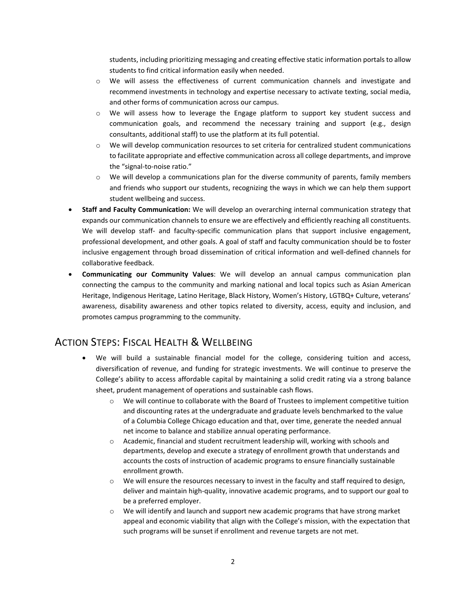students, including prioritizing messaging and creating effective static information portals to allow students to find critical information easily when needed.

- $\circ$  We will assess the effectiveness of current communication channels and investigate and recommend investments in technology and expertise necessary to activate texting, social media, and other forms of communication across our campus.
- $\circ$  We will assess how to leverage the Engage platform to support key student success and communication goals, and recommend the necessary training and support (e.g., design consultants, additional staff) to use the platform at its full potential.
- o We will develop communication resources to set criteria for centralized student communications to facilitate appropriate and effective communication across all college departments, and improve the "signal-to-noise ratio."
- $\circ$  We will develop a communications plan for the diverse community of parents, family members and friends who support our students, recognizing the ways in which we can help them support student wellbeing and success.
- **Staff and Faculty Communication:** We will develop an overarching internal communication strategy that expands our communication channels to ensure we are effectively and efficiently reaching all constituents. We will develop staff- and faculty-specific communication plans that support inclusive engagement, professional development, and other goals. A goal of staff and faculty communication should be to foster inclusive engagement through broad dissemination of critical information and well-defined channels for collaborative feedback.
- **Communicating our Community Values**: We will develop an annual campus communication plan connecting the campus to the community and marking national and local topics such as Asian American Heritage, Indigenous Heritage, Latino Heritage, Black History, Women's History, LGTBQ+ Culture, veterans' awareness, disability awareness and other topics related to diversity, access, equity and inclusion, and promotes campus programming to the community.

# ACTION STEPS: FISCAL HEALTH & WELLBEING

- We will build a sustainable financial model for the college, considering tuition and access, diversification of revenue, and funding for strategic investments. We will continue to preserve the College's ability to access affordable capital by maintaining a solid credit rating via a strong balance sheet, prudent management of operations and sustainable cash flows.
	- o We will continue to collaborate with the Board of Trustees to implement competitive tuition and discounting rates at the undergraduate and graduate levels benchmarked to the value of a Columbia College Chicago education and that, over time, generate the needed annual net income to balance and stabilize annual operating performance.
	- $\circ$  Academic, financial and student recruitment leadership will, working with schools and departments, develop and execute a strategy of enrollment growth that understands and accounts the costs of instruction of academic programs to ensure financially sustainable enrollment growth.
	- o We will ensure the resources necessary to invest in the faculty and staff required to design, deliver and maintain high-quality, innovative academic programs, and to support our goal to be a preferred employer.
	- o We will identify and launch and support new academic programs that have strong market appeal and economic viability that align with the College's mission, with the expectation that such programs will be sunset if enrollment and revenue targets are not met.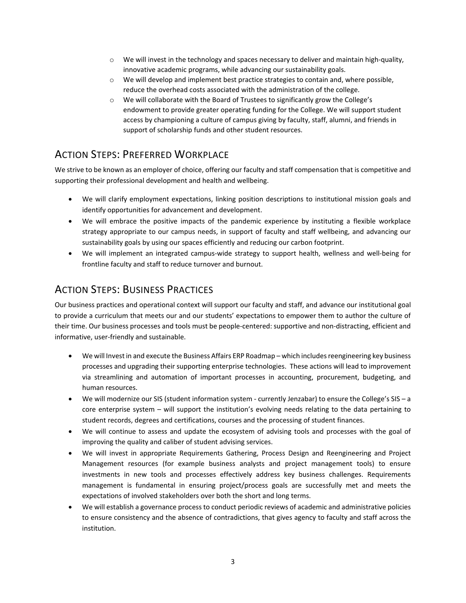- $\circ$  We will invest in the technology and spaces necessary to deliver and maintain high-quality, innovative academic programs, while advancing our sustainability goals.
- o We will develop and implement best practice strategies to contain and, where possible, reduce the overhead costs associated with the administration of the college.
- o We will collaborate with the Board of Trustees to significantly grow the College's endowment to provide greater operating funding for the College. We will support student access by championing a culture of campus giving by faculty, staff, alumni, and friends in support of scholarship funds and other student resources.

# ACTION STEPS: PREFERRED WORKPLACE

We strive to be known as an employer of choice, offering our faculty and staff compensation that is competitive and supporting their professional development and health and wellbeing.

- We will clarify employment expectations, linking position descriptions to institutional mission goals and identify opportunities for advancement and development.
- We will embrace the positive impacts of the pandemic experience by instituting a flexible workplace strategy appropriate to our campus needs, in support of faculty and staff wellbeing, and advancing our sustainability goals by using our spaces efficiently and reducing our carbon footprint.
- We will implement an integrated campus-wide strategy to support health, wellness and well-being for frontline faculty and staff to reduce turnover and burnout.

### ACTION STEPS: BUSINESS PRACTICES

Our business practices and operational context will support our faculty and staff, and advance our institutional goal to provide a curriculum that meets our and our students' expectations to empower them to author the culture of their time. Our business processes and tools must be people-centered: supportive and non-distracting, efficient and informative, user-friendly and sustainable.

- We will Invest in and execute the Business Affairs ERP Roadmap which includes reengineering key business processes and upgrading their supporting enterprise technologies. These actions will lead to improvement via streamlining and automation of important processes in accounting, procurement, budgeting, and human resources.
- We will modernize our SIS (student information system currently Jenzabar) to ensure the College's SIS a core enterprise system – will support the institution's evolving needs relating to the data pertaining to student records, degrees and certifications, courses and the processing of student finances.
- We will continue to assess and update the ecosystem of advising tools and processes with the goal of improving the quality and caliber of student advising services.
- We will invest in appropriate Requirements Gathering, Process Design and Reengineering and Project Management resources (for example business analysts and project management tools) to ensure investments in new tools and processes effectively address key business challenges. Requirements management is fundamental in ensuring project/process goals are successfully met and meets the expectations of involved stakeholders over both the short and long terms.
- We will establish a governance process to conduct periodic reviews of academic and administrative policies to ensure consistency and the absence of contradictions, that gives agency to faculty and staff across the institution.